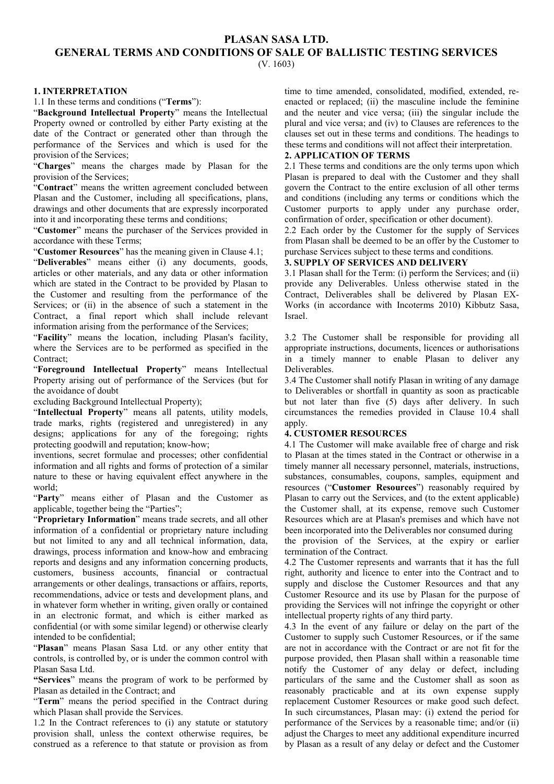#### 1. INTERPRETATION

1.1 In these terms and conditions ("Terms"):

"Background Intellectual Property" means the Intellectual Property owned or controlled by either Party existing at the date of the Contract or generated other than through the performance of the Services and which is used for the provision of the Services;

"Charges" means the charges made by Plasan for the provision of the Services;

"Contract" means the written agreement concluded between Plasan and the Customer, including all specifications, plans, drawings and other documents that are expressly incorporated into it and incorporating these terms and conditions;

"Customer" means the purchaser of the Services provided in accordance with these Terms;

"Customer Resources" has the meaning given in Clause 4.1;

"Deliverables" means either (i) any documents, goods, articles or other materials, and any data or other information which are stated in the Contract to be provided by Plasan to the Customer and resulting from the performance of the Services; or (ii) in the absence of such a statement in the Contract, a final report which shall include relevant information arising from the performance of the Services;

"Facility" means the location, including Plasan's facility, where the Services are to be performed as specified in the Contract;

"Foreground Intellectual Property" means Intellectual Property arising out of performance of the Services (but for the avoidance of doubt

excluding Background Intellectual Property);

"Intellectual Property" means all patents, utility models, trade marks, rights (registered and unregistered) in any designs; applications for any of the foregoing; rights protecting goodwill and reputation; know-how;

inventions, secret formulae and processes; other confidential information and all rights and forms of protection of a similar nature to these or having equivalent effect anywhere in the world;

"Party" means either of Plasan and the Customer as applicable, together being the "Parties";

"Proprietary Information" means trade secrets, and all other information of a confidential or proprietary nature including but not limited to any and all technical information, data, drawings, process information and know-how and embracing reports and designs and any information concerning products, customers, business accounts, financial or contractual arrangements or other dealings, transactions or affairs, reports, recommendations, advice or tests and development plans, and in whatever form whether in writing, given orally or contained in an electronic format, and which is either marked as confidential (or with some similar legend) or otherwise clearly intended to be confidential;

"Plasan" means Plasan Sasa Ltd. or any other entity that controls, is controlled by, or is under the common control with Plasan Sasa Ltd.

"Services" means the program of work to be performed by Plasan as detailed in the Contract; and

"Term" means the period specified in the Contract during which Plasan shall provide the Services.

1.2 In the Contract references to (i) any statute or statutory provision shall, unless the context otherwise requires, be construed as a reference to that statute or provision as from time to time amended, consolidated, modified, extended, reenacted or replaced; (ii) the masculine include the feminine and the neuter and vice versa; (iii) the singular include the plural and vice versa; and (iv) to Clauses are references to the clauses set out in these terms and conditions. The headings to these terms and conditions will not affect their interpretation.

## 2. APPLICATION OF TERMS

2.1 These terms and conditions are the only terms upon which Plasan is prepared to deal with the Customer and they shall govern the Contract to the entire exclusion of all other terms and conditions (including any terms or conditions which the Customer purports to apply under any purchase order, confirmation of order, specification or other document).

2.2 Each order by the Customer for the supply of Services from Plasan shall be deemed to be an offer by the Customer to purchase Services subject to these terms and conditions.

# 3. SUPPLY OF SERVICES AND DELIVERY

3.1 Plasan shall for the Term: (i) perform the Services; and (ii) provide any Deliverables. Unless otherwise stated in the Contract, Deliverables shall be delivered by Plasan EX-Works (in accordance with Incoterms 2010) Kibbutz Sasa, Israel.

3.2 The Customer shall be responsible for providing all appropriate instructions, documents, licences or authorisations in a timely manner to enable Plasan to deliver any Deliverables.

3.4 The Customer shall notify Plasan in writing of any damage to Deliverables or shortfall in quantity as soon as practicable but not later than five (5) days after delivery. In such circumstances the remedies provided in Clause 10.4 shall apply.

#### 4. CUSTOMER RESOURCES

4.1 The Customer will make available free of charge and risk to Plasan at the times stated in the Contract or otherwise in a timely manner all necessary personnel, materials, instructions, substances, consumables, coupons, samples, equipment and resources ("Customer Resources") reasonably required by Plasan to carry out the Services, and (to the extent applicable) the Customer shall, at its expense, remove such Customer Resources which are at Plasan's premises and which have not been incorporated into the Deliverables nor consumed during

the provision of the Services, at the expiry or earlier termination of the Contract.

4.2 The Customer represents and warrants that it has the full right, authority and licence to enter into the Contract and to supply and disclose the Customer Resources and that any Customer Resource and its use by Plasan for the purpose of providing the Services will not infringe the copyright or other intellectual property rights of any third party.

4.3 In the event of any failure or delay on the part of the Customer to supply such Customer Resources, or if the same are not in accordance with the Contract or are not fit for the purpose provided, then Plasan shall within a reasonable time notify the Customer of any delay or defect, including particulars of the same and the Customer shall as soon as reasonably practicable and at its own expense supply replacement Customer Resources or make good such defect. In such circumstances, Plasan may: (i) extend the period for performance of the Services by a reasonable time; and/or (ii) adjust the Charges to meet any additional expenditure incurred by Plasan as a result of any delay or defect and the Customer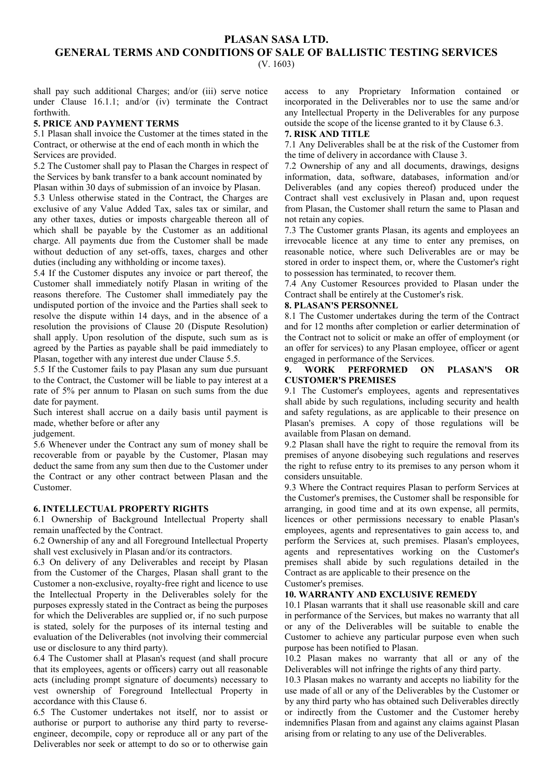shall pay such additional Charges; and/or (iii) serve notice under Clause 16.1.1; and/or (iv) terminate the Contract forthwith.

## 5. PRICE AND PAYMENT TERMS

5.1 Plasan shall invoice the Customer at the times stated in the Contract, or otherwise at the end of each month in which the Services are provided.

5.2 The Customer shall pay to Plasan the Charges in respect of the Services by bank transfer to a bank account nominated by Plasan within 30 days of submission of an invoice by Plasan.

5.3 Unless otherwise stated in the Contract, the Charges are exclusive of any Value Added Tax, sales tax or similar, and any other taxes, duties or imposts chargeable thereon all of which shall be payable by the Customer as an additional charge. All payments due from the Customer shall be made without deduction of any set-offs, taxes, charges and other duties (including any withholding or income taxes).

5.4 If the Customer disputes any invoice or part thereof, the Customer shall immediately notify Plasan in writing of the reasons therefore. The Customer shall immediately pay the undisputed portion of the invoice and the Parties shall seek to resolve the dispute within 14 days, and in the absence of a resolution the provisions of Clause 20 (Dispute Resolution) shall apply. Upon resolution of the dispute, such sum as is agreed by the Parties as payable shall be paid immediately to Plasan, together with any interest due under Clause 5.5.

5.5 If the Customer fails to pay Plasan any sum due pursuant to the Contract, the Customer will be liable to pay interest at a rate of 5% per annum to Plasan on such sums from the due date for payment.

Such interest shall accrue on a daily basis until payment is made, whether before or after any

judgement.

5.6 Whenever under the Contract any sum of money shall be recoverable from or payable by the Customer, Plasan may deduct the same from any sum then due to the Customer under the Contract or any other contract between Plasan and the Customer.

# 6. INTELLECTUAL PROPERTY RIGHTS

6.1 Ownership of Background Intellectual Property shall remain unaffected by the Contract.

6.2 Ownership of any and all Foreground Intellectual Property shall vest exclusively in Plasan and/or its contractors.

6.3 On delivery of any Deliverables and receipt by Plasan from the Customer of the Charges, Plasan shall grant to the Customer a non-exclusive, royalty-free right and licence to use the Intellectual Property in the Deliverables solely for the purposes expressly stated in the Contract as being the purposes for which the Deliverables are supplied or, if no such purpose is stated, solely for the purposes of its internal testing and evaluation of the Deliverables (not involving their commercial use or disclosure to any third party).

6.4 The Customer shall at Plasan's request (and shall procure that its employees, agents or officers) carry out all reasonable acts (including prompt signature of documents) necessary to vest ownership of Foreground Intellectual Property in accordance with this Clause 6.

6.5 The Customer undertakes not itself, nor to assist or authorise or purport to authorise any third party to reverseengineer, decompile, copy or reproduce all or any part of the Deliverables nor seek or attempt to do so or to otherwise gain

access to any Proprietary Information contained or incorporated in the Deliverables nor to use the same and/or any Intellectual Property in the Deliverables for any purpose outside the scope of the license granted to it by Clause 6.3.

# 7. RISK AND TITLE

7.1 Any Deliverables shall be at the risk of the Customer from the time of delivery in accordance with Clause 3.

7.2 Ownership of any and all documents, drawings, designs information, data, software, databases, information and/or Deliverables (and any copies thereof) produced under the Contract shall vest exclusively in Plasan and, upon request from Plasan, the Customer shall return the same to Plasan and not retain any copies.

7.3 The Customer grants Plasan, its agents and employees an irrevocable licence at any time to enter any premises, on reasonable notice, where such Deliverables are or may be stored in order to inspect them, or, where the Customer's right to possession has terminated, to recover them.

7.4 Any Customer Resources provided to Plasan under the Contract shall be entirely at the Customer's risk.

# 8. PLASAN'S PERSONNEL

8.1 The Customer undertakes during the term of the Contract and for 12 months after completion or earlier determination of the Contract not to solicit or make an offer of employment (or an offer for services) to any Plasan employee, officer or agent engaged in performance of the Services.

# 9. WORK PERFORMED ON PLASAN'S OR CUSTOMER'S PREMISES

9.1 The Customer's employees, agents and representatives shall abide by such regulations, including security and health and safety regulations, as are applicable to their presence on Plasan's premises. A copy of those regulations will be available from Plasan on demand.

9.2 Plasan shall have the right to require the removal from its premises of anyone disobeying such regulations and reserves the right to refuse entry to its premises to any person whom it considers unsuitable.

9.3 Where the Contract requires Plasan to perform Services at the Customer's premises, the Customer shall be responsible for arranging, in good time and at its own expense, all permits, licences or other permissions necessary to enable Plasan's employees, agents and representatives to gain access to, and perform the Services at, such premises. Plasan's employees, agents and representatives working on the Customer's premises shall abide by such regulations detailed in the Contract as are applicable to their presence on the Customer's premises.

# 10. WARRANTY AND EXCLUSIVE REMEDY

10.1 Plasan warrants that it shall use reasonable skill and care in performance of the Services, but makes no warranty that all or any of the Deliverables will be suitable to enable the Customer to achieve any particular purpose even when such purpose has been notified to Plasan.

10.2 Plasan makes no warranty that all or any of the Deliverables will not infringe the rights of any third party.

10.3 Plasan makes no warranty and accepts no liability for the use made of all or any of the Deliverables by the Customer or by any third party who has obtained such Deliverables directly or indirectly from the Customer and the Customer hereby indemnifies Plasan from and against any claims against Plasan arising from or relating to any use of the Deliverables.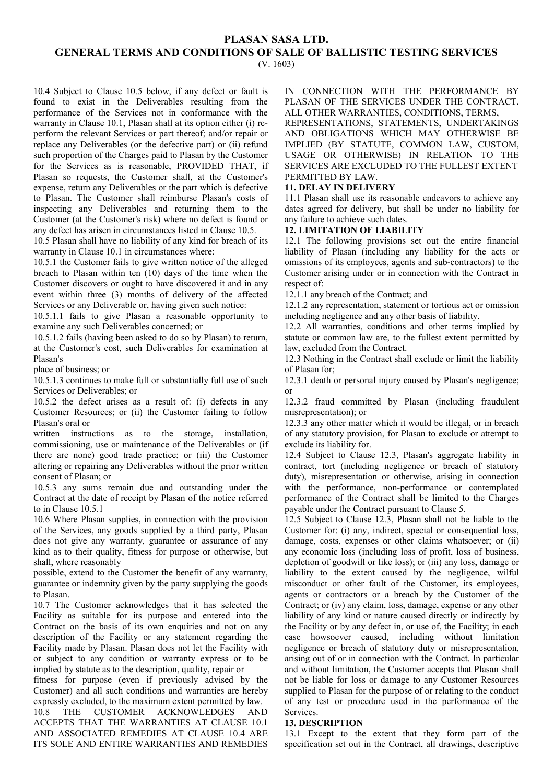10.4 Subject to Clause 10.5 below, if any defect or fault is found to exist in the Deliverables resulting from the performance of the Services not in conformance with the warranty in Clause 10.1, Plasan shall at its option either (i) reperform the relevant Services or part thereof; and/or repair or replace any Deliverables (or the defective part) or (ii) refund such proportion of the Charges paid to Plasan by the Customer for the Services as is reasonable, PROVIDED THAT, if Plasan so requests, the Customer shall, at the Customer's expense, return any Deliverables or the part which is defective to Plasan. The Customer shall reimburse Plasan's costs of inspecting any Deliverables and returning them to the Customer (at the Customer's risk) where no defect is found or any defect has arisen in circumstances listed in Clause 10.5.

10.5 Plasan shall have no liability of any kind for breach of its warranty in Clause 10.1 in circumstances where:

10.5.1 the Customer fails to give written notice of the alleged breach to Plasan within ten (10) days of the time when the Customer discovers or ought to have discovered it and in any event within three (3) months of delivery of the affected Services or any Deliverable or, having given such notice:

10.5.1.1 fails to give Plasan a reasonable opportunity to examine any such Deliverables concerned; or

10.5.1.2 fails (having been asked to do so by Plasan) to return, at the Customer's cost, such Deliverables for examination at Plasan's

place of business; or

10.5.1.3 continues to make full or substantially full use of such Services or Deliverables; or

10.5.2 the defect arises as a result of: (i) defects in any Customer Resources; or (ii) the Customer failing to follow Plasan's oral or

written instructions as to the storage, installation, commissioning, use or maintenance of the Deliverables or (if there are none) good trade practice; or (iii) the Customer altering or repairing any Deliverables without the prior written consent of Plasan; or

10.5.3 any sums remain due and outstanding under the Contract at the date of receipt by Plasan of the notice referred to in Clause 10.5.1

10.6 Where Plasan supplies, in connection with the provision of the Services, any goods supplied by a third party, Plasan does not give any warranty, guarantee or assurance of any kind as to their quality, fitness for purpose or otherwise, but shall, where reasonably

possible, extend to the Customer the benefit of any warranty, guarantee or indemnity given by the party supplying the goods to Plasan.

10.7 The Customer acknowledges that it has selected the Facility as suitable for its purpose and entered into the Contract on the basis of its own enquiries and not on any description of the Facility or any statement regarding the Facility made by Plasan. Plasan does not let the Facility with or subject to any condition or warranty express or to be implied by statute as to the description, quality, repair or

fitness for purpose (even if previously advised by the Customer) and all such conditions and warranties are hereby expressly excluded, to the maximum extent permitted by law.<br>10.8 THE CUSTOMER ACKNOWLEDGES AND

CUSTOMER ACKNOWLEDGES ACCEPTS THAT THE WARRANTIES AT CLAUSE 10.1 AND ASSOCIATED REMEDIES AT CLAUSE 10.4 ARE ITS SOLE AND ENTIRE WARRANTIES AND REMEDIES

IN CONNECTION WITH THE PERFORMANCE BY PLASAN OF THE SERVICES UNDER THE CONTRACT. ALL OTHER WARRANTIES, CONDITIONS, TERMS,

REPRESENTATIONS, STATEMENTS, UNDERTAKINGS AND OBLIGATIONS WHICH MAY OTHERWISE BE IMPLIED (BY STATUTE, COMMON LAW, CUSTOM, USAGE OR OTHERWISE) IN RELATION TO THE SERVICES ARE EXCLUDED TO THE FULLEST EXTENT PERMITTED BY LAW.

### 11. DELAY IN DELIVERY

11.1 Plasan shall use its reasonable endeavors to achieve any dates agreed for delivery, but shall be under no liability for any failure to achieve such dates.

# 12. LIMITATION OF LIABILITY

12.1 The following provisions set out the entire financial liability of Plasan (including any liability for the acts or omissions of its employees, agents and sub-contractors) to the Customer arising under or in connection with the Contract in respect of:

12.1.1 any breach of the Contract; and

12.1.2 any representation, statement or tortious act or omission including negligence and any other basis of liability.

12.2 All warranties, conditions and other terms implied by statute or common law are, to the fullest extent permitted by law, excluded from the Contract.

12.3 Nothing in the Contract shall exclude or limit the liability of Plasan for;

12.3.1 death or personal injury caused by Plasan's negligence; or

12.3.2 fraud committed by Plasan (including fraudulent misrepresentation); or

12.3.3 any other matter which it would be illegal, or in breach of any statutory provision, for Plasan to exclude or attempt to exclude its liability for.

12.4 Subject to Clause 12.3, Plasan's aggregate liability in contract, tort (including negligence or breach of statutory duty), misrepresentation or otherwise, arising in connection with the performance, non-performance or contemplated performance of the Contract shall be limited to the Charges payable under the Contract pursuant to Clause 5.

12.5 Subject to Clause 12.3, Plasan shall not be liable to the Customer for: (i) any, indirect, special or consequential loss, damage, costs, expenses or other claims whatsoever; or (ii) any economic loss (including loss of profit, loss of business, depletion of goodwill or like loss); or (iii) any loss, damage or liability to the extent caused by the negligence, wilful misconduct or other fault of the Customer, its employees, agents or contractors or a breach by the Customer of the Contract; or (iv) any claim, loss, damage, expense or any other liability of any kind or nature caused directly or indirectly by the Facility or by any defect in, or use of, the Facility; in each case howsoever caused, including without limitation negligence or breach of statutory duty or misrepresentation, arising out of or in connection with the Contract. In particular and without limitation, the Customer accepts that Plasan shall not be liable for loss or damage to any Customer Resources supplied to Plasan for the purpose of or relating to the conduct of any test or procedure used in the performance of the **Services** 

#### 13. DESCRIPTION

13.1 Except to the extent that they form part of the specification set out in the Contract, all drawings, descriptive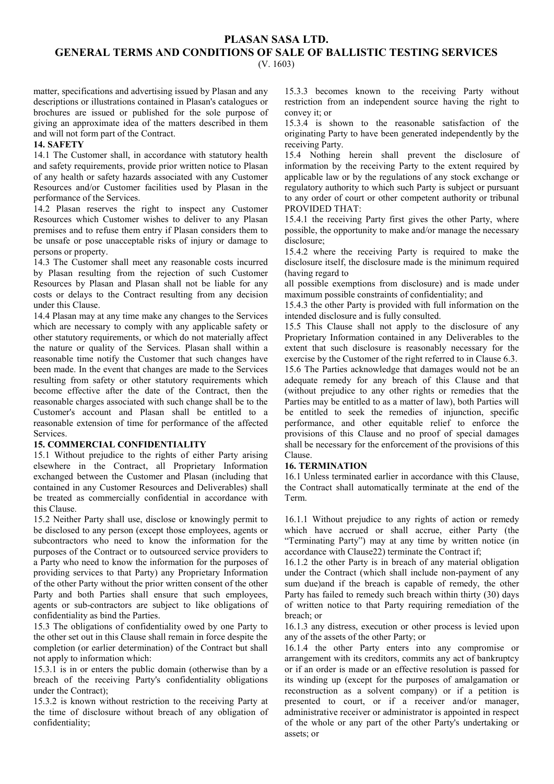matter, specifications and advertising issued by Plasan and any descriptions or illustrations contained in Plasan's catalogues or brochures are issued or published for the sole purpose of giving an approximate idea of the matters described in them and will not form part of the Contract.

#### 14. SAFETY

14.1 The Customer shall, in accordance with statutory health and safety requirements, provide prior written notice to Plasan of any health or safety hazards associated with any Customer Resources and/or Customer facilities used by Plasan in the performance of the Services.

14.2 Plasan reserves the right to inspect any Customer Resources which Customer wishes to deliver to any Plasan premises and to refuse them entry if Plasan considers them to be unsafe or pose unacceptable risks of injury or damage to persons or property.

14.3 The Customer shall meet any reasonable costs incurred by Plasan resulting from the rejection of such Customer Resources by Plasan and Plasan shall not be liable for any costs or delays to the Contract resulting from any decision under this Clause.

14.4 Plasan may at any time make any changes to the Services which are necessary to comply with any applicable safety or other statutory requirements, or which do not materially affect the nature or quality of the Services. Plasan shall within a reasonable time notify the Customer that such changes have been made. In the event that changes are made to the Services resulting from safety or other statutory requirements which become effective after the date of the Contract, then the reasonable charges associated with such change shall be to the Customer's account and Plasan shall be entitled to a reasonable extension of time for performance of the affected Services.

## 15. COMMERCIAL CONFIDENTIALITY

15.1 Without prejudice to the rights of either Party arising elsewhere in the Contract, all Proprietary Information exchanged between the Customer and Plasan (including that contained in any Customer Resources and Deliverables) shall be treated as commercially confidential in accordance with this Clause.

15.2 Neither Party shall use, disclose or knowingly permit to be disclosed to any person (except those employees, agents or subcontractors who need to know the information for the purposes of the Contract or to outsourced service providers to a Party who need to know the information for the purposes of providing services to that Party) any Proprietary Information of the other Party without the prior written consent of the other Party and both Parties shall ensure that such employees, agents or sub-contractors are subject to like obligations of confidentiality as bind the Parties.

15.3 The obligations of confidentiality owed by one Party to the other set out in this Clause shall remain in force despite the completion (or earlier determination) of the Contract but shall not apply to information which:

15.3.1 is in or enters the public domain (otherwise than by a breach of the receiving Party's confidentiality obligations under the Contract);

15.3.2 is known without restriction to the receiving Party at the time of disclosure without breach of any obligation of confidentiality;

15.3.3 becomes known to the receiving Party without restriction from an independent source having the right to convey it; or

15.3.4 is shown to the reasonable satisfaction of the originating Party to have been generated independently by the receiving Party.

15.4 Nothing herein shall prevent the disclosure of information by the receiving Party to the extent required by applicable law or by the regulations of any stock exchange or regulatory authority to which such Party is subject or pursuant to any order of court or other competent authority or tribunal PROVIDED THAT:

15.4.1 the receiving Party first gives the other Party, where possible, the opportunity to make and/or manage the necessary disclosure;

15.4.2 where the receiving Party is required to make the disclosure itself, the disclosure made is the minimum required (having regard to

all possible exemptions from disclosure) and is made under maximum possible constraints of confidentiality; and

15.4.3 the other Party is provided with full information on the intended disclosure and is fully consulted.

15.5 This Clause shall not apply to the disclosure of any Proprietary Information contained in any Deliverables to the extent that such disclosure is reasonably necessary for the exercise by the Customer of the right referred to in Clause 6.3. 15.6 The Parties acknowledge that damages would not be an adequate remedy for any breach of this Clause and that (without prejudice to any other rights or remedies that the Parties may be entitled to as a matter of law), both Parties will be entitled to seek the remedies of injunction, specific performance, and other equitable relief to enforce the provisions of this Clause and no proof of special damages shall be necessary for the enforcement of the provisions of this Clause.

#### 16. TERMINATION

16.1 Unless terminated earlier in accordance with this Clause, the Contract shall automatically terminate at the end of the Term.

16.1.1 Without prejudice to any rights of action or remedy which have accrued or shall accrue, either Party (the "Terminating Party") may at any time by written notice (in accordance with Clause22) terminate the Contract if;

16.1.2 the other Party is in breach of any material obligation under the Contract (which shall include non-payment of any sum due)and if the breach is capable of remedy, the other Party has failed to remedy such breach within thirty (30) days of written notice to that Party requiring remediation of the breach; or

16.1.3 any distress, execution or other process is levied upon any of the assets of the other Party; or

16.1.4 the other Party enters into any compromise or arrangement with its creditors, commits any act of bankruptcy or if an order is made or an effective resolution is passed for its winding up (except for the purposes of amalgamation or reconstruction as a solvent company) or if a petition is presented to court, or if a receiver and/or manager, administrative receiver or administrator is appointed in respect of the whole or any part of the other Party's undertaking or assets; or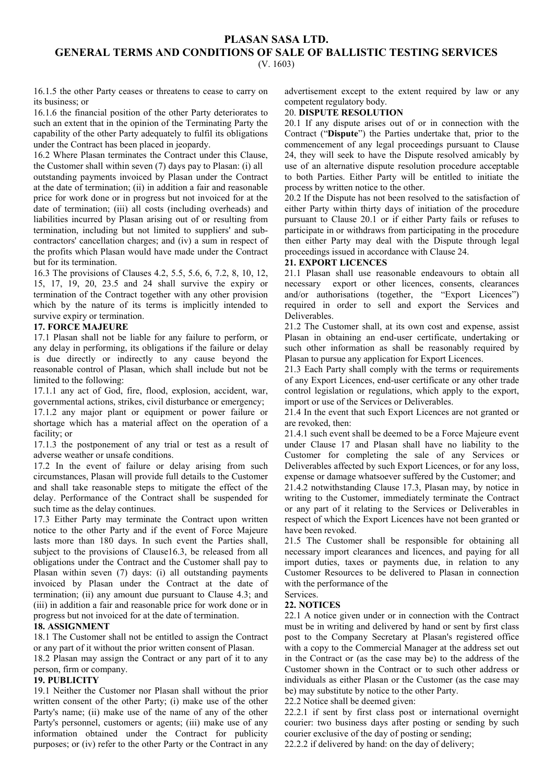16.1.5 the other Party ceases or threatens to cease to carry on its business; or

16.1.6 the financial position of the other Party deteriorates to such an extent that in the opinion of the Terminating Party the capability of the other Party adequately to fulfil its obligations under the Contract has been placed in jeopardy.

16.2 Where Plasan terminates the Contract under this Clause, the Customer shall within seven (7) days pay to Plasan: (i) all

outstanding payments invoiced by Plasan under the Contract at the date of termination; (ii) in addition a fair and reasonable price for work done or in progress but not invoiced for at the date of termination; (iii) all costs (including overheads) and liabilities incurred by Plasan arising out of or resulting from termination, including but not limited to suppliers' and subcontractors' cancellation charges; and (iv) a sum in respect of the profits which Plasan would have made under the Contract but for its termination.

16.3 The provisions of Clauses 4.2, 5.5, 5.6, 6, 7.2, 8, 10, 12, 15, 17, 19, 20, 23.5 and 24 shall survive the expiry or termination of the Contract together with any other provision which by the nature of its terms is implicitly intended to survive expiry or termination.

# 17. FORCE MAJEURE

17.1 Plasan shall not be liable for any failure to perform, or any delay in performing, its obligations if the failure or delay is due directly or indirectly to any cause beyond the reasonable control of Plasan, which shall include but not be limited to the following:

17.1.1 any act of God, fire, flood, explosion, accident, war, governmental actions, strikes, civil disturbance or emergency;

17.1.2 any major plant or equipment or power failure or shortage which has a material affect on the operation of a facility; or

17.1.3 the postponement of any trial or test as a result of adverse weather or unsafe conditions.

17.2 In the event of failure or delay arising from such circumstances, Plasan will provide full details to the Customer and shall take reasonable steps to mitigate the effect of the delay. Performance of the Contract shall be suspended for such time as the delay continues.

17.3 Either Party may terminate the Contract upon written notice to the other Party and if the event of Force Majeure lasts more than 180 days. In such event the Parties shall, subject to the provisions of Clause16.3, be released from all obligations under the Contract and the Customer shall pay to Plasan within seven (7) days: (i) all outstanding payments invoiced by Plasan under the Contract at the date of termination; (ii) any amount due pursuant to Clause 4.3; and (iii) in addition a fair and reasonable price for work done or in progress but not invoiced for at the date of termination.

#### 18. ASSIGNMENT

18.1 The Customer shall not be entitled to assign the Contract or any part of it without the prior written consent of Plasan.

18.2 Plasan may assign the Contract or any part of it to any person, firm or company.

# 19. PUBLICITY

19.1 Neither the Customer nor Plasan shall without the prior written consent of the other Party; (i) make use of the other Party's name; (ii) make use of the name of any of the other Party's personnel, customers or agents; (iii) make use of any information obtained under the Contract for publicity purposes; or (iv) refer to the other Party or the Contract in any advertisement except to the extent required by law or any competent regulatory body.

## 20. DISPUTE RESOLUTION

20.1 If any dispute arises out of or in connection with the Contract ("Dispute") the Parties undertake that, prior to the commencement of any legal proceedings pursuant to Clause 24, they will seek to have the Dispute resolved amicably by use of an alternative dispute resolution procedure acceptable to both Parties. Either Party will be entitled to initiate the process by written notice to the other.

20.2 If the Dispute has not been resolved to the satisfaction of either Party within thirty days of initiation of the procedure pursuant to Clause 20.1 or if either Party fails or refuses to participate in or withdraws from participating in the procedure then either Party may deal with the Dispute through legal proceedings issued in accordance with Clause 24.

# 21. EXPORT LICENCES

21.1 Plasan shall use reasonable endeavours to obtain all necessary export or other licences, consents, clearances and/or authorisations (together, the "Export Licences") required in order to sell and export the Services and Deliverables.

21.2 The Customer shall, at its own cost and expense, assist Plasan in obtaining an end-user certificate, undertaking or such other information as shall be reasonably required by Plasan to pursue any application for Export Licences.

21.3 Each Party shall comply with the terms or requirements of any Export Licences, end-user certificate or any other trade control legislation or regulations, which apply to the export, import or use of the Services or Deliverables.

21.4 In the event that such Export Licences are not granted or are revoked, then:

21.4.1 such event shall be deemed to be a Force Majeure event under Clause 17 and Plasan shall have no liability to the Customer for completing the sale of any Services or Deliverables affected by such Export Licences, or for any loss, expense or damage whatsoever suffered by the Customer; and 21.4.2 notwithstanding Clause 17.3, Plasan may, by notice in writing to the Customer, immediately terminate the Contract or any part of it relating to the Services or Deliverables in respect of which the Export Licences have not been granted or have been revoked.

21.5 The Customer shall be responsible for obtaining all necessary import clearances and licences, and paying for all import duties, taxes or payments due, in relation to any Customer Resources to be delivered to Plasan in connection with the performance of the

#### Services. 22. NOTICES

22.1 A notice given under or in connection with the Contract must be in writing and delivered by hand or sent by first class post to the Company Secretary at Plasan's registered office with a copy to the Commercial Manager at the address set out in the Contract or (as the case may be) to the address of the Customer shown in the Contract or to such other address or individuals as either Plasan or the Customer (as the case may be) may substitute by notice to the other Party.

22.2 Notice shall be deemed given:

22.2.1 if sent by first class post or international overnight courier: two business days after posting or sending by such courier exclusive of the day of posting or sending;

22.2.2 if delivered by hand: on the day of delivery;